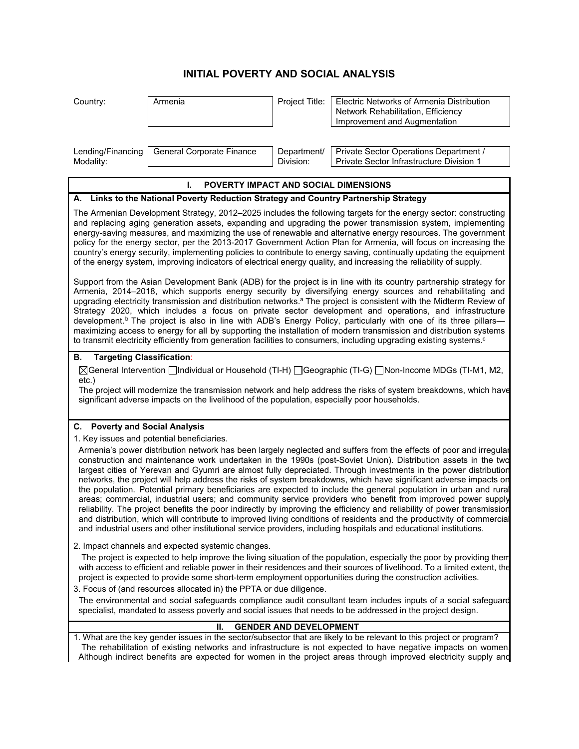## **INITIAL POVERTY AND SOCIAL ANALYSIS**

| Country:                                                                                                                                                                                                                                                                                                                                                                                                                                                                                                                                                                                                                                                                                                                                                                                                                                                                                                                                                                                                                                                                                                                                | Armenia                                                                                                                  | Project Title:           | Electric Networks of Armenia Distribution<br>Network Rehabilitation, Efficiency<br>Improvement and Augmentation                                                                                                                                                                                                                                                                                                                                                                                                                                                                                   |  |  |  |  |
|-----------------------------------------------------------------------------------------------------------------------------------------------------------------------------------------------------------------------------------------------------------------------------------------------------------------------------------------------------------------------------------------------------------------------------------------------------------------------------------------------------------------------------------------------------------------------------------------------------------------------------------------------------------------------------------------------------------------------------------------------------------------------------------------------------------------------------------------------------------------------------------------------------------------------------------------------------------------------------------------------------------------------------------------------------------------------------------------------------------------------------------------|--------------------------------------------------------------------------------------------------------------------------|--------------------------|---------------------------------------------------------------------------------------------------------------------------------------------------------------------------------------------------------------------------------------------------------------------------------------------------------------------------------------------------------------------------------------------------------------------------------------------------------------------------------------------------------------------------------------------------------------------------------------------------|--|--|--|--|
| Lending/Financing<br>Modality:                                                                                                                                                                                                                                                                                                                                                                                                                                                                                                                                                                                                                                                                                                                                                                                                                                                                                                                                                                                                                                                                                                          | General Corporate Finance                                                                                                | Department/<br>Division: | Private Sector Operations Department /<br>Private Sector Infrastructure Division 1                                                                                                                                                                                                                                                                                                                                                                                                                                                                                                                |  |  |  |  |
| ı.<br>POVERTY IMPACT AND SOCIAL DIMENSIONS                                                                                                                                                                                                                                                                                                                                                                                                                                                                                                                                                                                                                                                                                                                                                                                                                                                                                                                                                                                                                                                                                              |                                                                                                                          |                          |                                                                                                                                                                                                                                                                                                                                                                                                                                                                                                                                                                                                   |  |  |  |  |
| Links to the National Poverty Reduction Strategy and Country Partnership Strategy<br>А.                                                                                                                                                                                                                                                                                                                                                                                                                                                                                                                                                                                                                                                                                                                                                                                                                                                                                                                                                                                                                                                 |                                                                                                                          |                          |                                                                                                                                                                                                                                                                                                                                                                                                                                                                                                                                                                                                   |  |  |  |  |
| The Armenian Development Strategy, 2012–2025 includes the following targets for the energy sector: constructing<br>and replacing aging generation assets, expanding and upgrading the power transmission system, implementing<br>energy-saving measures, and maximizing the use of renewable and alternative energy resources. The government<br>policy for the energy sector, per the 2013-2017 Government Action Plan for Armenia, will focus on increasing the<br>country's energy security, implementing policies to contribute to energy saving, continually updating the equipment<br>of the energy system, improving indicators of electrical energy quality, and increasing the reliability of supply.                                                                                                                                                                                                                                                                                                                                                                                                                          |                                                                                                                          |                          |                                                                                                                                                                                                                                                                                                                                                                                                                                                                                                                                                                                                   |  |  |  |  |
| Support from the Asian Development Bank (ADB) for the project is in line with its country partnership strategy for<br>Armenia, 2014–2018, which supports energy security by diversifying energy sources and rehabilitating and<br>upgrading electricity transmission and distribution networks. <sup>a</sup> The project is consistent with the Midterm Review of<br>Strategy 2020, which includes a focus on private sector development and operations, and infrastructure<br>development. <sup>b</sup> The project is also in line with ADB's Energy Policy, particularly with one of its three pillars-<br>maximizing access to energy for all by supporting the installation of modern transmission and distribution systems<br>to transmit electricity efficiently from generation facilities to consumers, including upgrading existing systems. <sup>c</sup>                                                                                                                                                                                                                                                                     |                                                                                                                          |                          |                                                                                                                                                                                                                                                                                                                                                                                                                                                                                                                                                                                                   |  |  |  |  |
| <b>Targeting Classification:</b><br>В.                                                                                                                                                                                                                                                                                                                                                                                                                                                                                                                                                                                                                                                                                                                                                                                                                                                                                                                                                                                                                                                                                                  |                                                                                                                          |                          |                                                                                                                                                                                                                                                                                                                                                                                                                                                                                                                                                                                                   |  |  |  |  |
| [TI-G) General Intervention nullatividual or Household (TI-H) nullate orgaphic (TI-G) nullation-Income MDGs (TI-M1, M2,<br>$etc.$ )<br>The project will modernize the transmission network and help address the risks of system breakdowns, which have<br>significant adverse impacts on the livelihood of the population, especially poor households.                                                                                                                                                                                                                                                                                                                                                                                                                                                                                                                                                                                                                                                                                                                                                                                  |                                                                                                                          |                          |                                                                                                                                                                                                                                                                                                                                                                                                                                                                                                                                                                                                   |  |  |  |  |
| C. Poverty and Social Analysis                                                                                                                                                                                                                                                                                                                                                                                                                                                                                                                                                                                                                                                                                                                                                                                                                                                                                                                                                                                                                                                                                                          |                                                                                                                          |                          |                                                                                                                                                                                                                                                                                                                                                                                                                                                                                                                                                                                                   |  |  |  |  |
| 1. Key issues and potential beneficiaries.<br>Armenia's power distribution network has been largely neglected and suffers from the effects of poor and irregular<br>construction and maintenance work undertaken in the 1990s (post-Soviet Union). Distribution assets in the two<br>largest cities of Yerevan and Gyumri are almost fully depreciated. Through investments in the power distribution<br>networks, the project will help address the risks of system breakdowns, which have significant adverse impacts on<br>the population. Potential primary beneficiaries are expected to include the general population in urban and rural<br>areas; commercial, industrial users; and community service providers who benefit from improved power supply<br>reliability. The project benefits the poor indirectly by improving the efficiency and reliability of power transmission<br>and distribution, which will contribute to improved living conditions of residents and the productivity of commercial<br>and industrial users and other institutional service providers, including hospitals and educational institutions. |                                                                                                                          |                          |                                                                                                                                                                                                                                                                                                                                                                                                                                                                                                                                                                                                   |  |  |  |  |
|                                                                                                                                                                                                                                                                                                                                                                                                                                                                                                                                                                                                                                                                                                                                                                                                                                                                                                                                                                                                                                                                                                                                         | 2. Impact channels and expected systemic changes.<br>3. Focus of (and resources allocated in) the PPTA or due diligence. |                          | The project is expected to help improve the living situation of the population, especially the poor by providing them<br>with access to efficient and reliable power in their residences and their sources of livelihood. To a limited extent, the<br>project is expected to provide some short-term employment opportunities during the construction activities.<br>The environmental and social safeguards compliance audit consultant team includes inputs of a social safeguard<br>specialist, mandated to assess poverty and social issues that needs to be addressed in the project design. |  |  |  |  |
| <b>GENDER AND DEVELOPMENT</b><br>Ш.<br>1. What are the key gender issues in the sector/subsector that are likely to be relevant to this project or program?                                                                                                                                                                                                                                                                                                                                                                                                                                                                                                                                                                                                                                                                                                                                                                                                                                                                                                                                                                             |                                                                                                                          |                          |                                                                                                                                                                                                                                                                                                                                                                                                                                                                                                                                                                                                   |  |  |  |  |

1. What are the key gender issues in the sector/subsector that are likely to be relevant to this project or program? The rehabilitation of existing networks and infrastructure is not expected to have negative impacts on women. Although indirect benefits are expected for women in the project areas through improved electricity supply and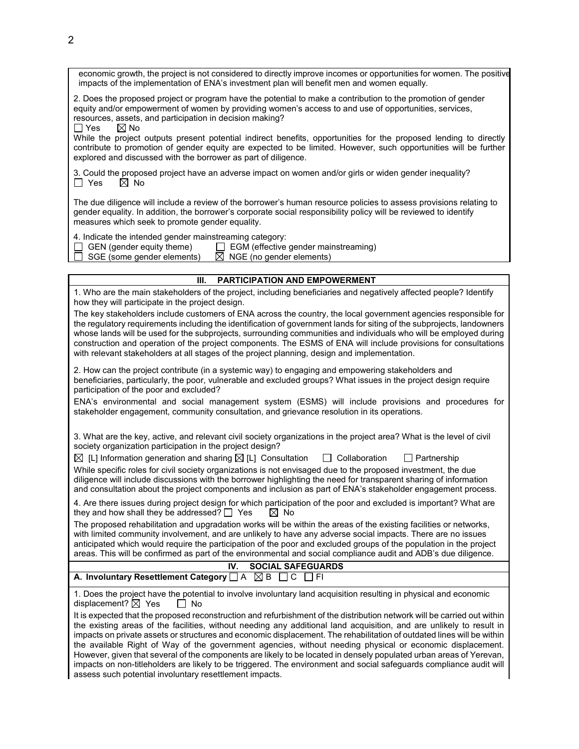economic growth, the project is not considered to directly improve incomes or opportunities for women. The positive impacts of the implementation of ENA's investment plan will benefit men and women equally.

2. Does the proposed project or program have the potential to make a contribution to the promotion of gender equity and/or empowerment of women by providing women's access to and use of opportunities, services, resources, assets, and participation in decision making?

 $\Box$  Yes  $\boxtimes$  No

While the project outputs present potential indirect benefits, opportunities for the proposed lending to directly contribute to promotion of gender equity are expected to be limited. However, such opportunities will be further explored and discussed with the borrower as part of diligence.

3. Could the proposed project have an adverse impact on women and/or girls or widen gender inequality?<br>  $\Box$  Yes  $\Box$  No  $\overline{\boxtimes}$  No

The due diligence will include a review of the borrower's human resource policies to assess provisions relating to gender equality. In addition, the borrower's corporate social responsibility policy will be reviewed to identify measures which seek to promote gender equality.

4. Indicate the intended gender mainstreaming category:<br>  $\Box$  GEN (gender equity theme)  $\Box$  EGM (effective

GEN (gender equity theme)  $\Box$  EGM (effective gender mainstreaming)<br>SGE (some gender elements)  $\Box$  NGE (no gender elements)  $\boxtimes$  NGE (no gender elements)

## **III. PARTICIPATION AND EMPOWERMENT**

1. Who are the main stakeholders of the project, including beneficiaries and negatively affected people? Identify how they will participate in the project design.

The key stakeholders include customers of ENA across the country, the local government agencies responsible for the regulatory requirements including the identification of government lands for siting of the subprojects, landowners whose lands will be used for the subprojects, surrounding communities and individuals who will be employed during construction and operation of the project components. The ESMS of ENA will include provisions for consultations with relevant stakeholders at all stages of the project planning, design and implementation.

2. How can the project contribute (in a systemic way) to engaging and empowering stakeholders and beneficiaries, particularly, the poor, vulnerable and excluded groups? What issues in the project design require participation of the poor and excluded?

ENA's environmental and social management system (ESMS) will include provisions and procedures for stakeholder engagement, community consultation, and grievance resolution in its operations.

3. What are the key, active, and relevant civil society organizations in the project area? What is the level of civil society organization participation in the project design?

 $\boxtimes$  [L] Information generation and sharing  $\boxtimes$  [L] Consultation  $\Box$  Collaboration  $\Box$  Partnership

While specific roles for civil society organizations is not envisaged due to the proposed investment, the due diligence will include discussions with the borrower highlighting the need for transparent sharing of information and consultation about the project components and inclusion as part of ENA's stakeholder engagement process.

4. Are there issues during project design for which participation of the poor and excluded is important? What are they and how shall they be addressed?  $\Box$  Yes  $\Box$  No

The proposed rehabilitation and upgradation works will be within the areas of the existing facilities or networks, with limited community involvement, and are unlikely to have any adverse social impacts. There are no issues anticipated which would require the participation of the poor and excluded groups of the population in the project areas. This will be confirmed as part of the environmental and social compliance audit and ADB's due diligence.

|                                                                         |  | <b>IV. SOCIAL SAFEGUARDS</b> |  |
|-------------------------------------------------------------------------|--|------------------------------|--|
| A. Involuntary Resettlement Category $\Box A \boxtimes B \Box C \Box F$ |  |                              |  |

1. Does the project have the potential to involve involuntary land acquisition resulting in physical and economic displacement?  $\boxtimes$  Yes  $\Box$  No displacement?  $\boxtimes$  Yes

It is expected that the proposed reconstruction and refurbishment of the distribution network will be carried out within the existing areas of the facilities, without needing any additional land acquisition, and are unlikely to result in impacts on private assets or structures and economic displacement. The rehabilitation of outdated lines will be within the available Right of Way of the government agencies, without needing physical or economic displacement. However, given that several of the components are likely to be located in densely populated urban areas of Yerevan, impacts on non-titleholders are likely to be triggered. The environment and social safeguards compliance audit will assess such potential involuntary resettlement impacts.